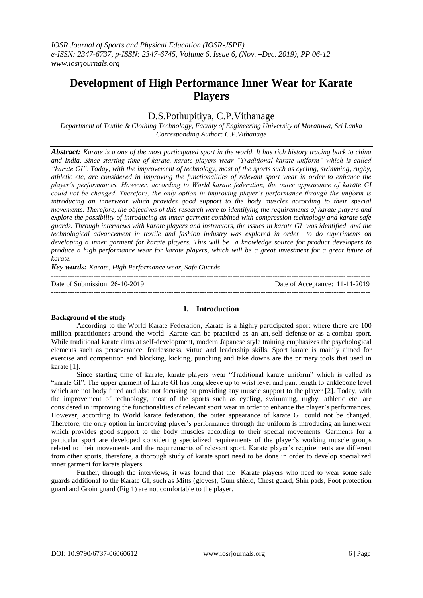# **Development of High Performance Inner Wear for Karate Players**

# D.S.Pothupitiya, C.P.Vithanage

*Department of Textile & Clothing Technology, Faculty of Engineering University of Moratuwa, Sri Lanka Corresponding Author: C.P.Vithanage*

*Abstract: Karate is a one of the most participated sport in the world. It has rich history tracing back to china and India. Since starting time of karate, karate players wear "Traditional karate uniform" which is called "karate GI". Today, with the improvement of technology, most of the sports such as cycling, swimming, rugby, athletic etc, are considered in improving the functionalities of relevant sport wear in order to enhance the player's performances. However, according to World karate federation, the outer appearance of karate GI could not be changed. Therefore, the only option in improving player's performance through the uniform is introducing an innerwear which provides good support to the body muscles according to their special movements. Therefore, the objectives of this research were to identifying the requirements of karate players and explore the possibility of introducing an inner garment combined with compression technology and karate safe guards. Through interviews with karate players and instructors, the issues in karate GI was identified and the technological advancement in textile and fashion industry was explored in order to do experiments on developing a inner garment for karate players. This will be a knowledge source for product developers to produce a high performance wear for karate players, which will be a great investment for a great future of karate.*

*Key words: Karate, High Performance wear, Safe Guards*

--------------------------------------------------------------------------------------------------------------------------------------- Date of Submission: 26-10-2019 Date of Acceptance: 11-11-2019 ---------------------------------------------------------------------------------------------------------------------------------------

## **I. Introduction**

## **Background of the study**

According to the World Karate Federation, Karate is a highly participated sport where there are 100 million practitioners around the world. Karate can be practiced as an art, self defense or as a combat sport. While traditional karate aims at self-development, modern Japanese style training emphasizes the psychological elements such as perseverance, fearlessness, virtue and leadership skills. Sport karate is mainly aimed for exercise and competition and blocking, kicking, punching and take downs are the primary tools that used in karate [1].

Since starting time of karate, karate players wear "Traditional karate uniform" which is called as "karate GI". The upper garment of karate GI has long sleeve up to wrist level and pant length to anklebone level which are not body fitted and also not focusing on providing any muscle support to the player [2]. Today, with the improvement of technology, most of the sports such as cycling, swimming, rugby, athletic etc, are considered in improving the functionalities of relevant sport wear in order to enhance the player's performances. However, according to World karate federation, the outer appearance of karate GI could not be changed. Therefore, the only option in improving player's performance through the uniform is introducing an innerwear which provides good support to the body muscles according to their special movements. Garments for a particular sport are developed considering specialized requirements of the player's working muscle groups related to their movements and the requirements of relevant sport. Karate player's requirements are different from other sports, therefore, a thorough study of karate sport need to be done in order to develop specialized inner garment for karate players.

Further, through the interviews, it was found that the Karate players who need to wear some safe guards additional to the Karate GI, such as Mitts (gloves), Gum shield, Chest guard, Shin pads, Foot protection guard and Groin guard (Fig 1) are not comfortable to the player.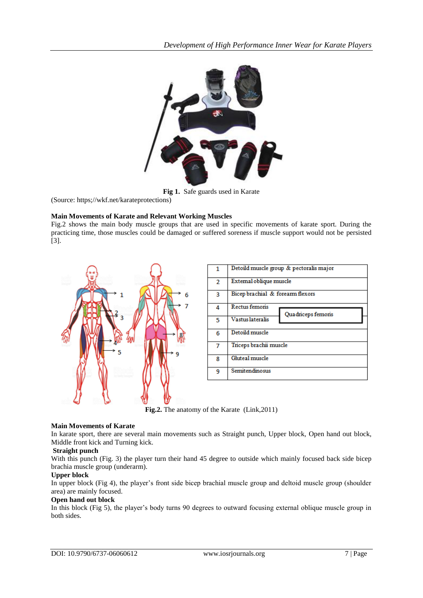

**Fig 1.** Safe guards used in Karate

(Source: https;//wkf.net/karateprotections)

# **Main Movements of Karate and Relevant Working Muscles**

Fig.2 shows the main body muscle groups that are used in specific movements of karate sport. During the practicing time, those muscles could be damaged or suffered soreness if muscle support would not be persisted [3].



|   | Detoild muscle group & pectoralis major |
|---|-----------------------------------------|
| 2 | Extemal oblique muscle                  |
| 3 | Bicep brachial & forearm flexors        |
| 4 | Rectus femoris<br>Quadriceps femoris    |
| 5 | Vastus lateralis                        |
| 6 | Detoild muscle                          |
| 7 | Triceps brachii muscle                  |
| 8 | Gluteal muscle                          |
| 9 | Semitendinosus                          |

**Fig.2.** The anatomy of the Karate (Link,2011)

## **Main Movements of Karate**

In karate sport, there are several main movements such as Straight punch, Upper block, Open hand out block, Middle front kick and Turning kick.

## **Straight punch**

With this punch (Fig. 3) the player turn their hand 45 degree to outside which mainly focused back side bicep brachia muscle group (underarm).

## **Upper block**

In upper block (Fig 4), the player's front side bicep brachial muscle group and deltoid muscle group (shoulder area) are mainly focused.

#### **Open hand out block**

In this block (Fig 5), the player's body turns 90 degrees to outward focusing external oblique muscle group in both sides.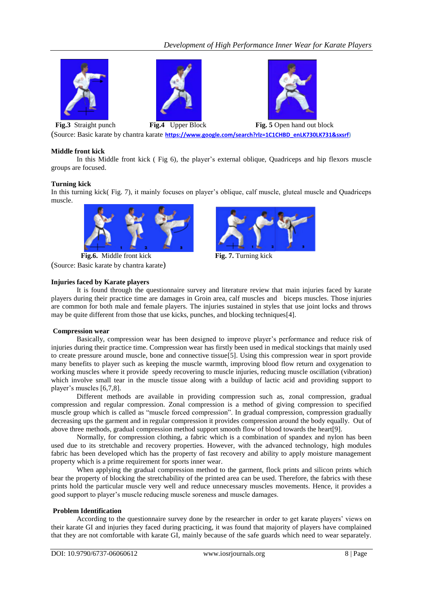# *Development of High Performance Inner Wear for Karate Players*







**Fig.3** Straight punch **Fig.4** Upper Block **Fig. 5** Open hand out block

(Source: Basic karate by chantra karate **[https://www.google.com/search?rlz=1C1CHBD\\_enLK730LK731&sxsrf\)](https://www.google.com/search?rlz=1C1CHBD_enLK730LK731&sxsrf)**

# **Middle front kick**

In this Middle front kick ( Fig 6), the player's external oblique, Quadriceps and hip flexors muscle groups are focused.

# **Turning kick**

In this turning kick( Fig. 7), it mainly focuses on player's oblique, calf muscle, gluteal muscle and Quadriceps muscle.



**Fig.6.** Middle front kick **Fig. 7.** Turning kick (Source: Basic karate by chantra karate)

# **Injuries faced by Karate players**



It is found through the questionnaire survey and literature review that main injuries faced by karate players during their practice time are damages in Groin area, calf muscles and biceps muscles. Those injuries are common for both male and female players. The injuries sustained in styles that use joint locks and throws may be quite different from those that use kicks, punches, and blocking techniques[4].

## **Compression wear**

Basically, compression wear has been designed to improve player's performance and reduce risk of injuries during their practice time. Compression wear has firstly been used in medical stockings that mainly used to create pressure around muscle, bone and connective tissue[5]. Using this compression wear in sport provide many benefits to player such as keeping the muscle warmth, improving blood flow return and oxygenation to working muscles where it provide speedy recovering to muscle injuries, reducing muscle oscillation (vibration) which involve small tear in the muscle tissue along with a buildup of lactic acid and providing support to player's muscles [6,7,8].

Different methods are available in providing compression such as, zonal compression, gradual compression and regular compression. Zonal compression is a method of giving compression to specified muscle group which is called as "muscle forced compression". In gradual compression, compression gradually decreasing ups the garment and in regular compression it provides compression around the body equally. Out of above three methods, gradual compression method support smooth flow of blood towards the heart[9].

Normally, for compression clothing, a fabric which is a combination of spandex and nylon has been used due to its stretchable and recovery properties. However, with the advanced technology, high modules fabric has been developed which has the property of fast recovery and ability to apply moisture management property which is a prime requirement for sports inner wear.

When applying the gradual compression method to the garment, flock prints and silicon prints which bear the property of blocking the stretchability of the printed area can be used. Therefore, the fabrics with these prints hold the particular muscle very well and reduce unnecessary muscles movements. Hence, it provides a good support to player's muscle reducing muscle soreness and muscle damages.

## **Problem Identification**

According to the questionnaire survey done by the researcher in order to get karate players' views on their karate GI and injuries they faced during practicing, it was found that majority of players have complained that they are not comfortable with karate GI, mainly because of the safe guards which need to wear separately.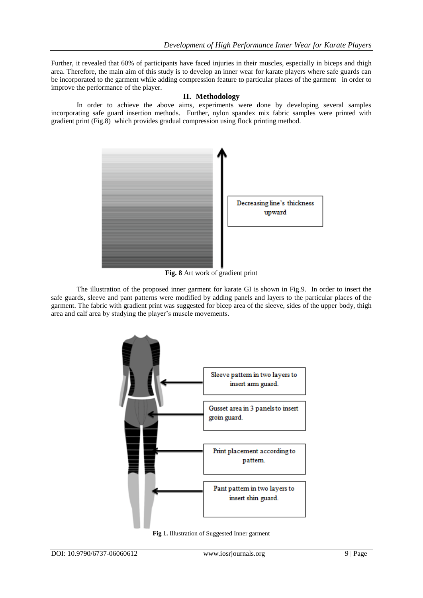Further, it revealed that 60% of participants have faced injuries in their muscles, especially in biceps and thigh area. Therefore, the main aim of this study is to develop an inner wear for karate players where safe guards can be incorporated to the garment while adding compression feature to particular places of the garment in order to improve the performance of the player.

# **II. Methodology**

In order to achieve the above aims, experiments were done by developing several samples incorporating safe guard insertion methods. Further, nylon spandex mix fabric samples were printed with gradient print (Fig.8) which provides gradual compression using flock printing method.



**Fig. 8** Art work of gradient print

The illustration of the proposed inner garment for karate GI is shown in Fig.9. In order to insert the safe guards, sleeve and pant patterns were modified by adding panels and layers to the particular places of the garment. The fabric with gradient print was suggested for bicep area of the sleeve, sides of the upper body, thigh area and calf area by studying the player's muscle movements.



**Fig 1.** Illustration of Suggested Inner garment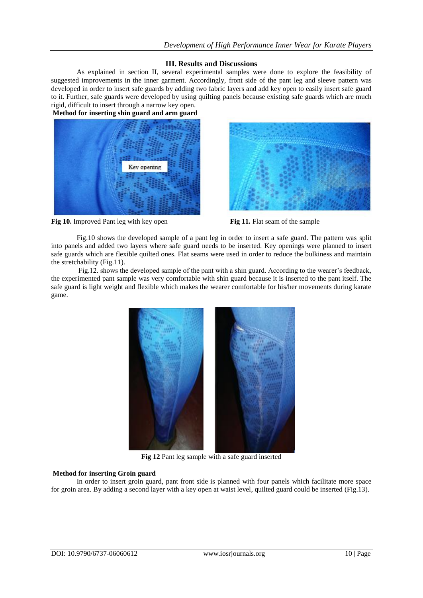# **III. Results and Discussions**

As explained in section II, several experimental samples were done to explore the feasibility of suggested improvements in the inner garment. Accordingly, front side of the pant leg and sleeve pattern was developed in order to insert safe guards by adding two fabric layers and add key open to easily insert safe guard to it. Further, safe guards were developed by using quilting panels because existing safe guards which are much rigid, difficult to insert through a narrow key open.

**Method for inserting shin guard and arm guard**







Fig.10 shows the developed sample of a pant leg in order to insert a safe guard. The pattern was split into panels and added two layers where safe guard needs to be inserted. Key openings were planned to insert safe guards which are flexible quilted ones. Flat seams were used in order to reduce the bulkiness and maintain the stretchability (Fig.11).

Fig.12. shows the developed sample of the pant with a shin guard. According to the wearer's feedback, the experimented pant sample was very comfortable with shin guard because it is inserted to the pant itself. The safe guard is light weight and flexible which makes the wearer comfortable for his/her movements during karate game.



**Fig 12** Pant leg sample with a safe guard inserted

# **Method for inserting Groin guard**

In order to insert groin guard, pant front side is planned with four panels which facilitate more space for groin area. By adding a second layer with a key open at waist level, quilted guard could be inserted (Fig.13).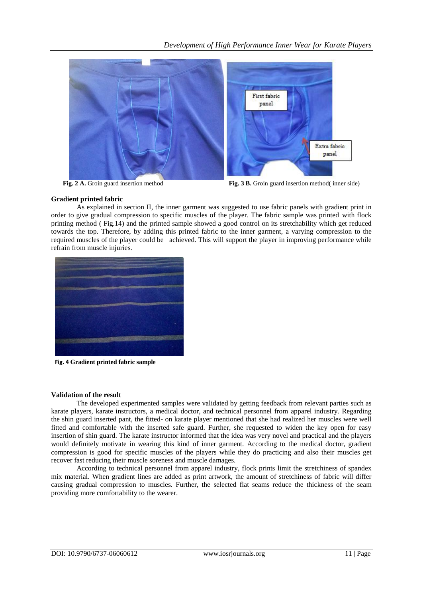

**Fig. 2 A.** Groin guard insertion method **Fig. 3 B.** Groin guard insertion method( inner side)

# **Gradient printed fabric**

As explained in section II, the inner garment was suggested to use fabric panels with gradient print in order to give gradual compression to specific muscles of the player. The fabric sample was printed with flock printing method ( Fig.14) and the printed sample showed a good control on its stretchability which get reduced towards the top. Therefore, by adding this printed fabric to the inner garment, a varying compression to the required muscles of the player could be achieved. This will support the player in improving performance while refrain from muscle injuries.



**Fig. 4 Gradient printed fabric sample**

## **Validation of the result**

The developed experimented samples were validated by getting feedback from relevant parties such as karate players, karate instructors, a medical doctor, and technical personnel from apparel industry. Regarding the shin guard inserted pant, the fitted- on karate player mentioned that she had realized her muscles were well fitted and comfortable with the inserted safe guard. Further, she requested to widen the key open for easy insertion of shin guard. The karate instructor informed that the idea was very novel and practical and the players would definitely motivate in wearing this kind of inner garment. According to the medical doctor, gradient compression is good for specific muscles of the players while they do practicing and also their muscles get recover fast reducing their muscle soreness and muscle damages.

According to technical personnel from apparel industry, flock prints limit the stretchiness of spandex mix material. When gradient lines are added as print artwork, the amount of stretchiness of fabric will differ causing gradual compression to muscles. Further, the selected flat seams reduce the thickness of the seam providing more comfortability to the wearer.